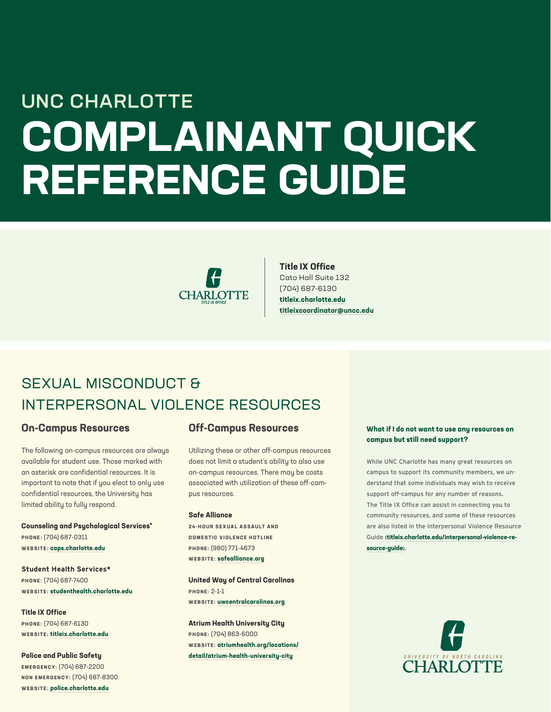# **COMPLAINANT QUICK REFERENCE GUIDE** UNC CHARLOTTE



### **Title IX Office**

Cato Hall Suite 132 (704) 687-6130 **[titleix.charlotte.e](http://titleix.charlotte.edu)du [titleixcoordinator@uncc.edu](mailto:titleixcoordinator%40uncc.edu?subject=)**

### SEXUAL MISCONDUCT & INTERPERSONAL VIOLENCE RESOURCES

### **On-Campus Resources**

The following on-campus resources are always available for student use. Those marked with an asterisk are confidential resources. It is important to note that if you elect to only use confidential resources, the University has limited ability to fully respond.

**Counseling and Psychological Services\* PHONE:** (704) 687-0311 **WEBSITE: [caps.charlotte.edu](http://caps.charlotte.edu)**

**Student Health Services\* PHONE:** (704) 687-7400 **WEBSITE: [studenthealth.charlotte.e](http://studenthealth.charlotte.edu)du**

**Title IX Office PHONE:** (704) 687-6130 **WEBSITE: [titleix.charlotte.edu](http://titleix.charlotte.edu)**

**Police and Public Safety EMERGENCY:** (704) 687-2200 **NON EMERGENCY:** (704) 687-8300 **WEBSITE: polic[e.charlotte.ed](http://police.charlotte.edu)u**

### **Off-Campus Resources**

Utilizing these or other off-campus resources does not limit a student's ability to also use on-campus resources. There may be costs associated with utilization of these off-campus resources.

### **Safe Alliance**

**2 4 - H O U R S E X U A L A S S A U LT A N D DOMESTIC VIOLENCE HOTLINE PHONE:** (980) 771-4673 **WEBSITE: [safealliance.org](http://safealliance.org)**

**United Way of Central Carolinas PHONE:** 2-1-1 **WEBSITE: [uwcentralcarolinas.org](http://uwcentralcarolinas.org)**

**Atrium Health University City PHONE:** (704) 863-6000 **WEBSITE: [atriumhealth.org/locations/](http://atriumhealth.org/locations/detail/atrium-health-university-city) [detail/atrium-health-university-city](http://atriumhealth.org/locations/detail/atrium-health-university-city)**

### **What if I do not want to use any resources on campus but still need support?**

While UNC Charlotte has many great resources on campus to support its community members, we understand that some individuals may wish to receive support off-campus for any number of reasons. The Title IX Office can assist in connecting you to community resources, and some of these resources are also listed in the Interpersonal Violence Resource Guide **([titleix.charlotte.edu/interpersonal-violence-re](http://titleix.charlotte.edu/interpersonal-violence-resource-guide)[source-guide](http://titleix.charlotte.edu/interpersonal-violence-resource-guide)).**